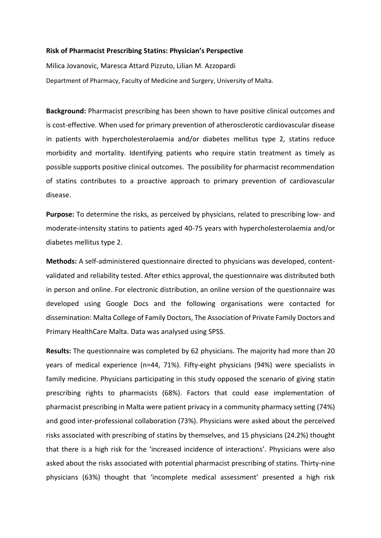## **Risk of Pharmacist Prescribing Statins: Physician's Perspective**

Milica Jovanovic, Maresca Attard Pizzuto, Lilian M. Azzopardi Department of Pharmacy, Faculty of Medicine and Surgery, University of Malta.

**Background:** Pharmacist prescribing has been shown to have positive clinical outcomes and is cost-effective. When used for primary prevention of atherosclerotic cardiovascular disease in patients with hypercholesterolaemia and/or diabetes mellitus type 2, statins reduce morbidity and mortality. Identifying patients who require statin treatment as timely as possible supports positive clinical outcomes. The possibility for pharmacist recommendation of statins contributes to a proactive approach to primary prevention of cardiovascular disease.

**Purpose:** To determine the risks, as perceived by physicians, related to prescribing low- and moderate-intensity statins to patients aged 40-75 years with hypercholesterolaemia and/or diabetes mellitus type 2.

**Methods:** A self-administered questionnaire directed to physicians was developed, contentvalidated and reliability tested. After ethics approval, the questionnaire was distributed both in person and online. For electronic distribution, an online version of the questionnaire was developed using Google Docs and the following organisations were contacted for dissemination: Malta College of Family Doctors, The Association of Private Family Doctors and Primary HealthCare Malta. Data was analysed using SPSS.

**Results:** The questionnaire was completed by 62 physicians. The majority had more than 20 years of medical experience (n=44, 71%). Fifty-eight physicians (94%) were specialists in family medicine. Physicians participating in this study opposed the scenario of giving statin prescribing rights to pharmacists (68%). Factors that could ease implementation of pharmacist prescribing in Malta were patient privacy in a community pharmacy setting (74%) and good inter-professional collaboration (73%). Physicians were asked about the perceived risks associated with prescribing of statins by themselves, and 15 physicians (24.2%) thought that there is a high risk for the 'increased incidence of interactions'. Physicians were also asked about the risks associated with potential pharmacist prescribing of statins. Thirty-nine physicians (63%) thought that 'incomplete medical assessment' presented a high risk